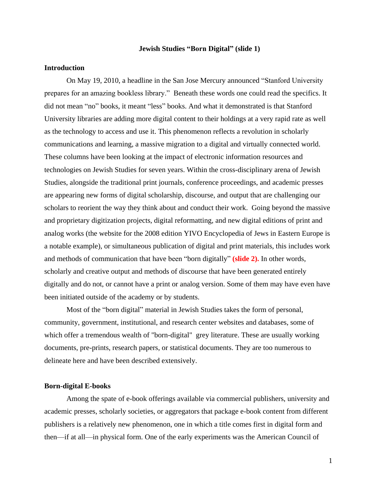### **Jewish Studies "Born Digital" (slide 1)**

## **Introduction**

On May 19, 2010, a headline in the San Jose Mercury announced "Stanford University prepares for an amazing bookless library." Beneath these words one could read the specifics. It did not mean "no" books, it meant "less" books. And what it demonstrated is that Stanford University libraries are adding more digital content to their holdings at a very rapid rate as well as the technology to access and use it. This phenomenon reflects a revolution in scholarly communications and learning, a massive migration to a digital and virtually connected world. These columns have been looking at the impact of electronic information resources and technologies on Jewish Studies for seven years. Within the cross-disciplinary arena of Jewish Studies, alongside the traditional print journals, conference proceedings, and academic presses are appearing new forms of digital scholarship, discourse, and output that are challenging our scholars to reorient the way they think about and conduct their work. Going beyond the massive and proprietary digitization projects, digital reformatting, and new digital editions of print and analog works (the website for the 2008 edition [YIVO Encyclopedia of Jews in Eastern Europe](http://searchworks.stanford.edu/view/7509714) is a notable example), or simultaneous publication of digital and print materials, this includes work and methods of communication that have been "born digitally" **(slide 2).** In other words, scholarly and creative output and methods of discourse that have been generated entirely digitally and do not, or cannot have a print or analog version. Some of them may have even have been initiated outside of the academy or by students.

Most of the "born digital" material in Jewish Studies takes the form of personal, community, government, institutional, and research center websites and databases, some of which offer a tremendous wealth of "born-digital" grey literature. These are usually working documents, pre-prints, research papers, or statistical documents. They are too numerous to delineate here and have been described extensively.

### **Born-digital E-books**

Among the spate of e-book offerings available via commercial publishers, university and academic presses, scholarly societies, or aggregators that package e-book content from different publishers is a relatively new phenomenon, one in which a title comes first in digital form and then—if at all—in physical form. One of the early experiments was the American Council of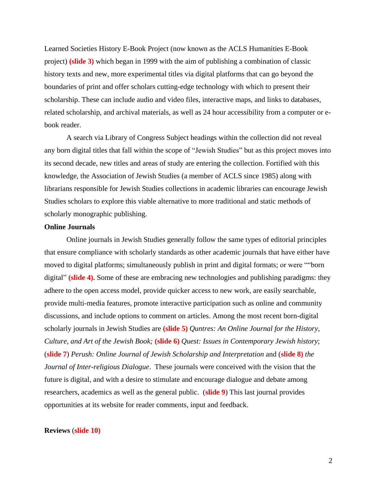Learned Societies History E-Book Project (now known as the ACLS Humanities E-Book project) **(slide 3)** which began in 1999 with the aim of publishing a combination of classic history texts and new, more experimental titles via digital platforms that can go beyond the boundaries of print and offer scholars cutting-edge technology with which to present their scholarship. These can include audio and video files, interactive maps, and links to databases, related scholarship, and archival materials, as well as 24 hour accessibility from a computer or ebook reader.

A search via Library of Congress Subject headings within the collection did not reveal any born digital titles that fall within the scope of "Jewish Studies" but as this project moves into its second decade, new titles and areas of study are entering the collection. Fortified with this knowledge, the Association of Jewish Studies (a member of ACLS since 1985) along with librarians responsible for Jewish Studies collections in academic libraries can encourage Jewish Studies scholars to explore this viable alternative to more traditional and static methods of scholarly monographic publishing.

#### **Online Journals**

Online journals in Jewish Studies generally follow the same types of editorial principles that ensure compliance with scholarly standards as other academic journals that have either have moved to digital platforms; simultaneously publish in print and digital formats; or were ""born digital" **(slide 4).** Some of these are embracing new technologies and publishing paradigms: they adhere to the open access model, provide quicker access to new work, are easily searchable, provide multi-media features, promote interactive participation such as online and community discussions, and include options to comment on articles. Among the most recent born-digital scholarly journals in Jewish Studies are **(slide 5)** *Quntres: An Online Journal for the History*, *Culture, and Art of the Jewish Book;* **(slide 6)** *Quest: Issues in Contemporary Jewish history*; (**slide 7**) *Perush: Online Journal of Jewish Scholarship and Interpretation* and (**slide 8)** *the Journal of Inter-religious Dialogue*. These journals were conceived with the vision that the future is digital, and with a desire to stimulate and encourage dialogue and debate among researchers, academics as well as the general public. (**slide 9**) This last journal provides opportunities at its website for reader comments, input and feedback.

### **Reviews** (**slide 10)**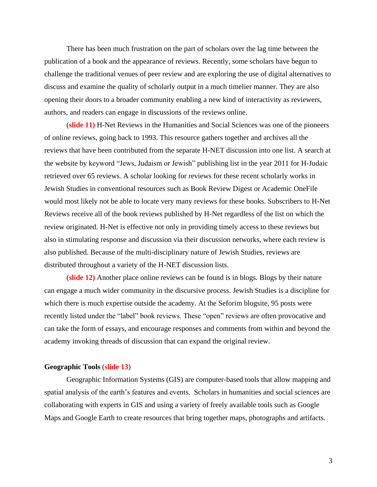There has been much frustration on the part of scholars over the lag time between the publication of a book and the appearance of reviews. Recently, some scholars have begun to challenge the traditional venues of peer review and are exploring the use of digital alternatives to discuss and examine the quality of scholarly output in a much timelier manner. They are also opening their doors to a broader community enabling a new kind of interactivity as reviewers, authors, and readers can engage in discussions of the reviews online.

(**slide 11)** H-Net Reviews in the Humanities and Social Sciences was one of the pioneers of online reviews, going back to 1993. This resource gathers together and archives all the reviews that have been contributed from the separate H-NET discussion into one list. A search at the website by keyword "Jews, Judaism or Jewish" publishing list in the year 2011 for H-Judaic retrieved over 65 reviews. A scholar looking for reviews for these recent scholarly works in Jewish Studies in conventional resources such as Book Review Digest or Academic OneFile would most likely not be able to locate very many reviews for these books. Subscribers to H-Net Reviews receive all of the book reviews published by H-Net regardless of the list on which the review originated. H-Net is effective not only in providing timely access to these reviews but also in stimulating response and discussion via their discussion networks, where each review is also published. Because of the multi-disciplinary nature of Jewish Studies, reviews are distributed throughout a variety of the H-NET discussion lists.

(**slide 12)** Another place online reviews can be found is in blogs. Blogs by their nature can engage a much wider community in the discursive process. Jewish Studies is a discipline for which there is much expertise outside the academy. At the Seforim blogsite, 95 posts were recently listed under the "label" book reviews. These "open" reviews are often provocative and can take the form of essays, and encourage responses and comments from within and beyond the academy invoking threads of discussion that can expand the original review.

### **Geographic Tools** (**slide 13**)

Geographic Information Systems (GIS) are computer-based tools that allow mapping and spatial analysis of the earth's features and events. Scholars in humanities and social sciences are collaborating with experts in GIS and using a variety of freely available tools such as Google Maps and Google Earth to create resources that bring together maps, photographs and artifacts.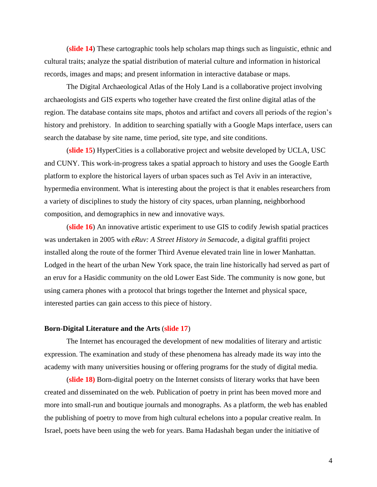(**slide 14**) These cartographic tools help scholars map things such as linguistic, ethnic and cultural traits; analyze the spatial distribution of material culture and information in historical records, images and maps; and present information in interactive database or maps.

The Digital Archaeological Atlas of the Holy Land is a collaborative project involving archaeologists and GIS experts who together have created the first online digital atlas of the region. The database contains site maps, photos and artifact and covers all periods of the region's history and prehistory. In addition to searching spatially with a Google Maps interface, users can search the database by site name, time period, site type, and site conditions.

(**slide 15**) [HyperCities](http://www.hypercities.com/) is a collaborative project and website developed by UCLA, USC and CUNY. This work-in-progress takes a spatial approach to history and uses the Google Earth platform to explore the historical layers of urban spaces such as Tel Aviv in an interactive, hypermedia environment. What is interesting about the project is that it enables researchers from a variety of disciplines to study the history of city spaces, urban planning, neighborhood composition, and demographics in new and innovative ways.

(**slide 16**) An innovative artistic experiment to use GIS to codify Jewish spatial practices was undertaken in 2005 with *eRuv: A Street History in Semacode*, a digital graffiti project installed along the route of the former Third Avenue elevated train line in lower Manhattan. Lodged in the heart of the urban New York space, the train line historically had served as part of an eruv for a Hasidic community on the old Lower East Side. The community is now gone, but using camera phones with a protocol that brings together the Internet and physical space, interested parties can gain access to this piece of history.

## **Born-Digital Literature and the Arts** (**slide 17**)

The Internet has encouraged the development of new modalities of literary and artistic expression. The examination and study of these phenomena has already made its way into the academy with many universities housing or offering programs for the study of digital media.

(**slide 18)** Born-digital poetry on the Internet consists of literary works that have been created and disseminated on the web. Publication of poetry in print has been moved more and more into small-run and boutique journals and monographs. As a platform, the web has enabled the publishing of poetry to move from high cultural echelons into a popular creative realm. In Israel, poets have been using the web for years. Bama Hadashah began under the initiative of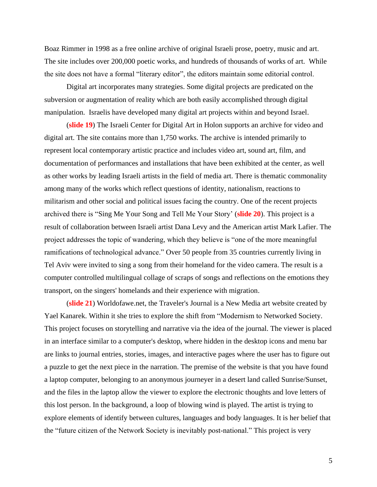Boaz Rimmer in 1998 as a free online archive of original Israeli prose, poetry, music and art. The site includes over 200,000 poetic works, and hundreds of thousands of works of art. While the site does not have a formal "literary editor", the editors maintain some editorial control.

Digital art incorporates many strategies. Some digital projects are predicated on the subversion or augmentation of reality which are both easily accomplished through digital manipulation. Israelis have developed many digital art projects within and beyond Israel.

(**slide 19**) The Israeli Center for Digital Art in Holon supports an archive for video and digital art. The site contains more than 1,750 works. The archive is intended primarily to represent local contemporary artistic practice and includes video art, sound art, film, and documentation of performances and installations that have been exhibited at the center, as well as other works by leading Israeli artists in the field of media art. There is thematic commonality among many of the works which reflect questions of identity, nationalism, reactions to militarism and other social and political issues facing the country. One of the recent projects archived there is "Sing Me Your Song and Tell Me Your Story' (**slide 20**). This project is a result of collaboration between Israeli artist Dana Levy and the American artist Mark Lafier. The project addresses the topic of wandering, which they believe is "one of the more meaningful ramifications of technological advance." Over 50 people from 35 countries currently living in Tel Aviv were invited to sing a song from their homeland for the video camera. The result is a computer controlled multilingual collage of scraps of songs and reflections on the emotions they transport, on the singers' homelands and their experience with migration.

(**slide 21**) Worldofawe.net, the Traveler's Journal is a New Media art website created by Yael Kanarek. Within it she tries to explore the shift from "Modernism to Networked Society. This project focuses on storytelling and narrative via the idea of the journal. The viewer is placed in an interface similar to a computer's desktop, where hidden in the desktop icons and menu bar are links to journal entries, stories, images, and interactive pages where the user has to figure out a puzzle to get the next piece in the narration. The premise of the website is that you have found a laptop computer, belonging to an anonymous journeyer in a desert land called Sunrise/Sunset, and the files in the laptop allow the viewer to explore the electronic thoughts and love letters of this lost person. In the background, a loop of blowing wind is played. The artist is trying to explore elements of identify between cultures, languages and body languages. It is her belief that the "future citizen of the Network Society is inevitably post-national." This project is very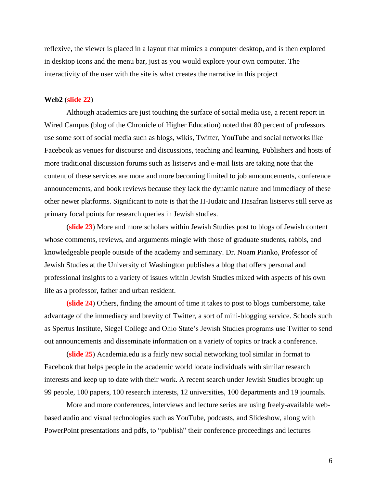reflexive, the viewer is placed in a layout that mimics a computer desktop, and is then explored in desktop icons and the menu bar, just as you would explore your own computer. The interactivity of the user with the site is what creates the narrative in this project

### **Web2** (**slide 22**)

Although academics are just touching the surface of social media use, a recent report in Wired Campus (blog of the Chronicle of Higher Education) noted that 80 percent of professors use some sort of social media such as blogs, wikis, Twitter, YouTube and social networks like Facebook as venues for discourse and discussions, teaching and learning. Publishers and hosts of more traditional discussion forums such as listservs and e-mail lists are taking note that the content of these services are more and more becoming limited to job announcements, conference announcements, and book reviews because they lack the dynamic nature and immediacy of these other newer platforms. Significant to note is that the H-Judaic and Hasafran listservs still serve as primary focal points for research queries in Jewish studies.

(**slide 23**) More and more scholars within Jewish Studies post to blogs of Jewish content whose comments, reviews, and arguments mingle with those of graduate students, rabbis, and knowledgeable people outside of the academy and seminary. Dr. Noam Pianko, Professor of Jewish Studies at the University of Washington publishes a blog that offers personal and professional insights to a variety of issues within Jewish Studies mixed with aspects of his own life as a professor, father and urban resident.

**(slide 24**) Others, finding the amount of time it takes to post to blogs cumbersome, take advantage of the immediacy and brevity of Twitter, a sort of mini-blogging service. Schools such as Spertus Institute, Siegel College and Ohio State's Jewish Studies programs use Twitter to send out announcements and disseminate information on a variety of topics or track a conference.

(**slide 25**) Academia.edu is a fairly new social networking tool similar in format to Facebook that helps people in the academic world locate individuals with similar research interests and keep up to date with their work. A recent search under Jewish Studies brought up 99 people, 100 papers, 100 research interests, 12 universities, 100 departments and 19 journals.

More and more conferences, interviews and lecture series are using freely-available webbased audio and visual technologies such as YouTube, podcasts, and Slideshow, along with PowerPoint presentations and pdfs, to "publish" their conference proceedings and lectures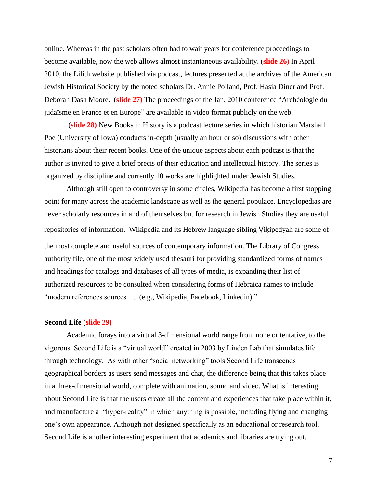online. Whereas in the past scholars often had to wait years for conference proceedings to become available, now the web allows almost instantaneous availability. (**slide 26)** In April 2010, the Lilith website published via podcast, lectures presented at the archives of the American Jewish Historical Society by the noted scholars Dr. Annie Polland, Prof. Hasia Diner and Prof. Deborah Dash Moore. (**slide 27)** The proceedings of the Jan. 2010 conference "Archéologie du judaïsme en France et en Europe" are available in video format publicly on the web.

(**slide 28)** New Books in History is a podcast lecture series in which historian Marshall Poe (University of Iowa) conducts in-depth (usually an hour or so) discussions with other historians about their recent books. One of the unique aspects about each podcast is that the author is invited to give a brief precis of their education and intellectual history. The series is organized by discipline and currently 10 works are highlighted under Jewish Studies.

Although still open to controversy in some circles, Wikipedia has become a first stopping point for many across the academic landscape as well as the general populace. Encyclopedias are never scholarly resources in and of themselves but for research in Jewish Studies they are useful repositories of information. Wikipedia and its Hebrew language sibling Vikipedyah are some of the most complete and useful sources of contemporary information. The Library of Congress authority file, one of the most widely used thesauri for providing standardized forms of names and headings for catalogs and databases of all types of media, is expanding their list of authorized resources to be consulted when considering forms of Hebraica names to include "modern references sources .... (e.g., Wikipedia, Facebook, Linkedin)."

### **Second Life** (**slide 29)**

Academic forays into a virtual 3-dimensional world range from none or tentative, to the vigorous. Second Life is a "virtual world" created in 2003 by Linden Lab that simulates life through technology. As with other "social networking" tools Second Life transcends geographical borders as users send messages and chat, the difference being that this takes place in a three-dimensional world, complete with animation, sound and video. What is interesting about Second Life is that the users create all the content and experiences that take place within it, and manufacture a "hyper-reality" in which anything is possible, including flying and changing one's own appearance. Although not designed specifically as an educational or research tool, Second Life is another interesting experiment that academics and libraries are trying out.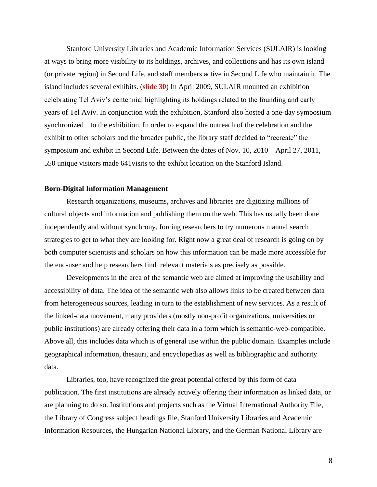Stanford University Libraries and Academic Information Services (SULAIR) is looking at ways to bring more visibility to its holdings, archives, and collections and has its own island (or private region) in Second Life, and staff members active in Second Life who maintain it. The island includes several exhibits. (**slide 30**) In April 2009, SULAIR mounted an exhibition celebrating Tel Aviv's centennial highlighting its holdings related to the founding and early years of Tel Aviv. In conjunction with the exhibition, Stanford also hosted a one-day symposium synchronized to the exhibition. In order to expand the outreach of the celebration and the exhibit to other scholars and the broader public, the library staff decided to "recreate" the symposium and exhibit in Second Life. Between the dates of Nov. 10, 2010 – April 27, 2011, 550 unique visitors made 641visits to the exhibit location on the Stanford Island.

### **Born-Digital Information Management**

Research organizations, museums, archives and libraries are digitizing millions of cultural objects and information and publishing them on the web. This has usually been done independently and without synchrony, forcing researchers to try numerous manual search strategies to get to what they are looking for. Right now a great deal of research is going on by both computer scientists and scholars on how this information can be made more accessible for the end-user and help researchers find relevant materials as precisely as possible.

Developments in the area of the semantic web are aimed at improving the usability and accessibility of data. The idea of the semantic web also allows links to be created between data from heterogeneous sources, leading in turn to the establishment of new services. As a result of the linked-data movement, many providers (mostly non-profit organizations, universities or public institutions) are already offering their data in a form which is semantic-web-compatible. Above all, this includes data which is of general use within the public domain. Examples include geographical information, thesauri, and encyclopedias as well as bibliographic and authority data.

Libraries, too, have recognized the great potential offered by this form of data publication. The first institutions are already actively offering their information as linked data, or are planning to do so. Institutions and projects such as the Virtual International Authority File, the Library of Congress subject headings file, Stanford University Libraries and Academic Information Resources, the Hungarian National Library, and the German National Library are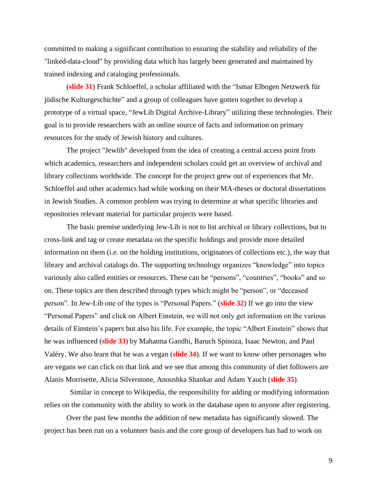committed to making a significant contribution to ensuring the stability and reliability of the "linked-data-cloud" by providing data which has largely been generated and maintained by trained indexing and cataloging professionals.

(**slide 31**) Frank Schloeffel, a scholar affiliated with the "Ismar Elbogen Netzwerk für jüdische Kulturgeschichte" and a group of colleagues have gotten together to develop a prototype of a virtual space, "JewLib Digital Archive-Library" utilizing these technologies. Their goal is to provide researchers with an online source of facts and information on primary resources for the study of Jewish history and cultures.

The project "Jewlib" developed from the idea of creating a central access point from which academics, researchers and independent scholars could get an overview of archival and library collections worldwide. The concept for the project grew out of experiences that Mr. Schloeffel and other academics had while working on their MA-theses or doctoral dissertations in Jewish Studies. A common problem was trying to determine at what specific libraries and repositories relevant material for particular projects were based.

The basic premise underlying Jew-Lib is not to list archival or library collections, but to cross-link and tag or create metadata on the specific holdings and provide more detailed information on them (i.e. on the holding institutions, originators of collections etc.), the way that library and archival catalogs do. The supporting technology organizes "knowledge" into topics variously also called entities or resources. These can be "persons", "countries", "books" and so on. These topics are then described through types which might be "person", or "deceased person". In Jew-Lib one of the types is "Personal Papers." (**slide 32**) If we go into the view "Personal Papers" and click on Albert Einstein, we will not only get information on the various details of Einstein's papers but also his life. For example, the topic "Albert Einstein" shows that he was influenced (**slide 33**) by Mahatma Gandhi, Baruch Spinoza, Isaac Newton, and Paul Valéry. We also learn that he was a vegan (**slide 34**). If we want to know other personages who are vegans we can click on that link and we see that among this community of diet followers are Alanis Morrisette, Alicia Silverstone, Anoushka Shankar and Adam Yauch (**slide 35**).

Similar in concept to Wikipedia, the responsibility for adding or modifying information relies on the community with the ability to work in the database open to anyone after registering.

Over the past few months the addition of new metadata has significantly slowed. The project has been run on a volunteer basis and the core group of developers has had to work on